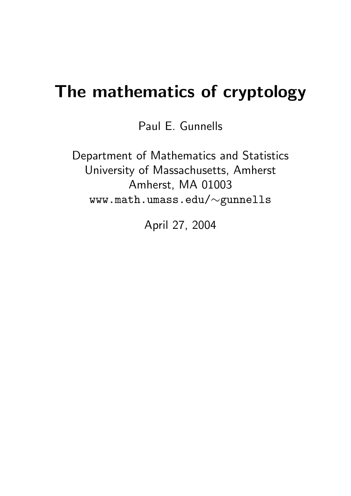# The mathematics of cryptology

Paul E. Gunnells

Department of Mathematics and Statistics University of Massachusetts, Amherst Amherst, MA 01003 www.math.umass.edu/∼gunnells

April 27, 2004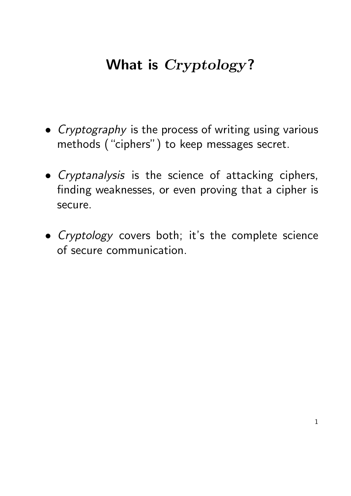### What is *Cryptology*?

- Cryptography is the process of writing using various methods ("ciphers") to keep messages secret.
- Cryptanalysis is the science of attacking ciphers, finding weaknesses, or even proving that a cipher is secure.
- Cryptology covers both; it's the complete science of secure communication.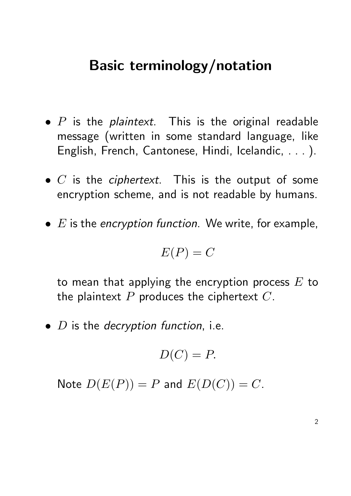#### Basic terminology/notation

- $P$  is the *plaintext*. This is the original readable message (written in some standard language, like English, French, Cantonese, Hindi, Icelandic, . . . ).
- $\bullet$  C is the *ciphertext*. This is the output of some encryption scheme, and is not readable by humans.
- $\bullet$  E is the encryption function. We write, for example,

$$
E(P) = C
$$

to mean that applying the encryption process  $E$  to the plaintext  $P$  produces the ciphertext  $C$ .

 $\bullet$  *D* is the *decryption function*, i.e.

$$
D(C) = P.
$$

Note  $D(E(P)) = P$  and  $E(D(C)) = C$ .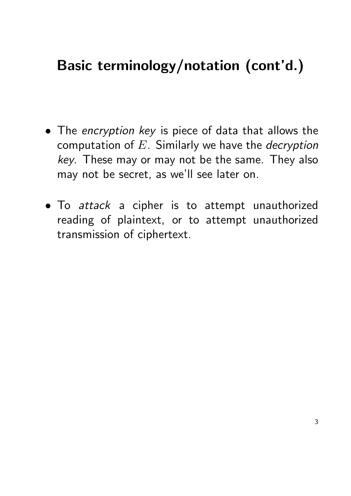### Basic terminology/notation (cont'd.)

- The encryption key is piece of data that allows the computation of  $E$ . Similarly we have the *decryption* key. These may or may not be the same. They also may not be secret, as we'll see later on.
- To attack a cipher is to attempt unauthorized reading of plaintext, or to attempt unauthorized transmission of ciphertext.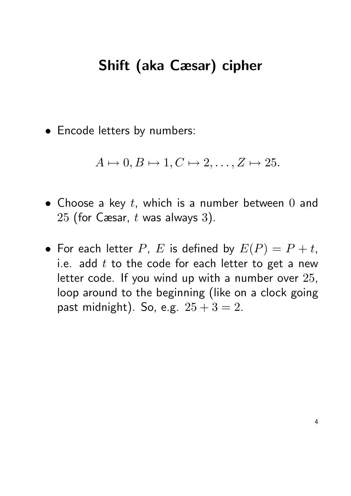#### Shift (aka Cæsar) cipher

• Encode letters by numbers:

 $A \mapsto 0, B \mapsto 1, C \mapsto 2, \ldots, Z \mapsto 25.$ 

- Choose a key  $t$ , which is a number between  $0$  and 25 (for Cæsar,  $t$  was always 3).
- For each letter P, E is defined by  $E(P) = P + t$ , i.e. add  $t$  to the code for each letter to get a new letter code. If you wind up with a number over 25, loop around to the beginning (like on a clock going past midnight). So, e.g.  $25 + 3 = 2$ .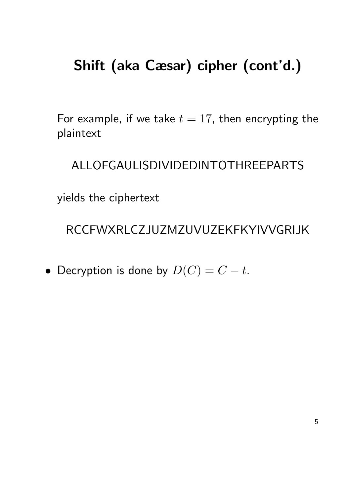### Shift (aka Cæsar) cipher (cont'd.)

For example, if we take  $t = 17$ , then encrypting the plaintext

ALLOFGAULISDIVIDEDINTOTHREEPARTS

yields the ciphertext

RCCFWXRLCZJUZMZUVUZEKFKYIVVGRIJK

• Decryption is done by  $D(C) = C - t$ .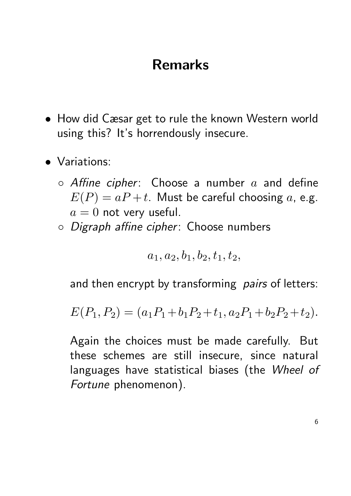### Remarks

- How did Cæsar get to rule the known Western world using this? It's horrendously insecure.
- Variations:
	- $\circ$  Affine cipher: Choose a number  $a$  and define  $E(P) = aP + t$ . Must be careful choosing a, e.g.  $a = 0$  not very useful.
	- Digraph affine cipher: Choose numbers

$$
a_1, a_2, b_1, b_2, t_1, t_2,
$$

and then encrypt by transforming *pairs* of letters:

$$
E(P_1, P_2) = (a_1P_1 + b_1P_2 + t_1, a_2P_1 + b_2P_2 + t_2).
$$

Again the choices must be made carefully. But these schemes are still insecure, since natural languages have statistical biases (the Wheel of Fortune phenomenon).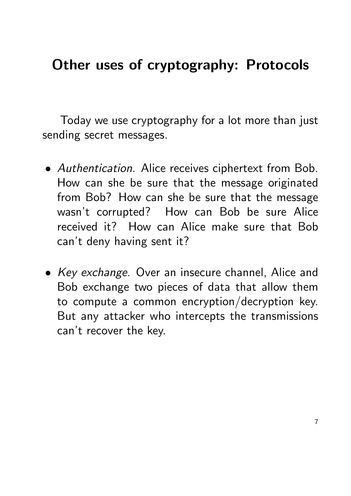### Other uses of cryptography: Protocols

Today we use cryptography for a lot more than just sending secret messages.

- Authentication. Alice receives ciphertext from Bob. How can she be sure that the message originated from Bob? How can she be sure that the message wasn't corrupted? How can Bob be sure Alice received it? How can Alice make sure that Bob can't deny having sent it?
- Key exchange. Over an insecure channel, Alice and Bob exchange two pieces of data that allow them to compute a common encryption/decryption key. But any attacker who intercepts the transmissions can't recover the key.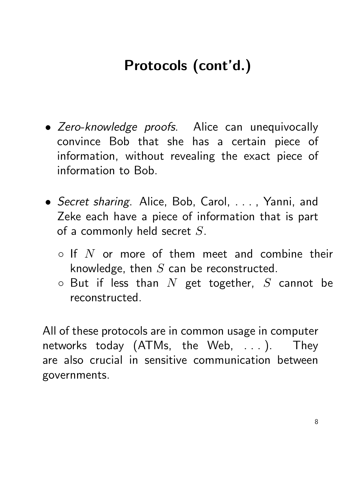# Protocols (cont'd.)

- Zero-knowledge proofs. Alice can unequivocally convince Bob that she has a certain piece of information, without revealing the exact piece of information to Bob.
- Secret sharing. Alice, Bob, Carol, ..., Yanni, and Zeke each have a piece of information that is part of a commonly held secret  $S$ .
	- $\circ$  If N or more of them meet and combine their knowledge, then  $S$  can be reconstructed.
	- $\circ$  But if less than N get together, S cannot be reconstructed.

All of these protocols are in common usage in computer networks today (ATMs, the Web, . . . ). They are also crucial in sensitive communication between governments.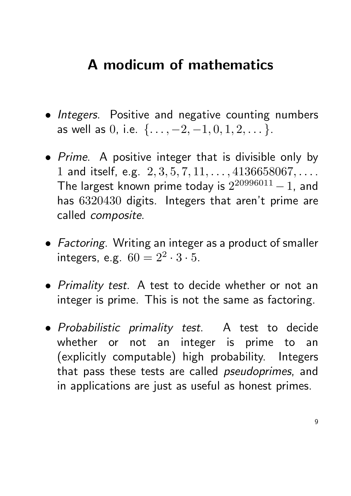### A modicum of mathematics

- Integers. Positive and negative counting numbers as well as 0, i.e.  $\{ \ldots, -2, -1, 0, 1, 2, \ldots \}.$
- Prime. A positive integer that is divisible only by 1 and itself, e.g.  $2, 3, 5, 7, 11, \ldots, 4136658067, \ldots$ . The largest known prime today is  $2^{20996011} - 1$ , and has 6320430 digits. Integers that aren't prime are called composite.
- Factoring. Writing an integer as a product of smaller integers, e.g.  $60 = 2^2 \cdot 3 \cdot 5$ .
- Primality test. A test to decide whether or not an integer is prime. This is not the same as factoring.
- Probabilistic primality test. A test to decide whether or not an integer is prime to an (explicitly computable) high probability. Integers that pass these tests are called *pseudoprimes*, and in applications are just as useful as honest primes.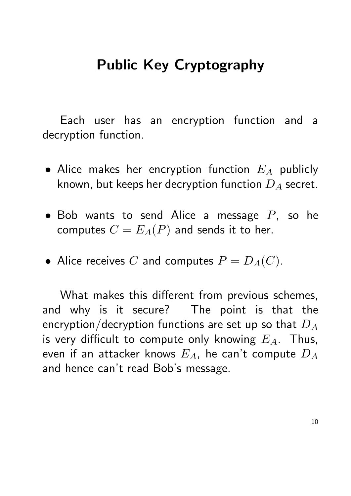### Public Key Cryptography

Each user has an encryption function and a decryption function.

- Alice makes her encryption function  $E_A$  publicly known, but keeps her decryption function  $D_A$  secret.
- Bob wants to send Alice a message  $P$ , so he computes  $C = E_A(P)$  and sends it to her.
- Alice receives C and computes  $P = D<sub>A</sub>(C)$ .

What makes this different from previous schemes, and why is it secure? The point is that the encryption/decryption functions are set up so that  $D_A$ is very difficult to compute only knowing  $E_A$ . Thus, even if an attacker knows  $E_A$ , he can't compute  $D_A$ and hence can't read Bob's message.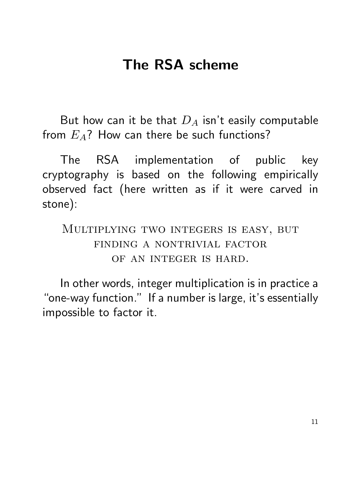### The RSA scheme

But how can it be that  $D_A$  isn't easily computable from  $E_A$ ? How can there be such functions?

The RSA implementation of public key cryptography is based on the following empirically observed fact (here written as if it were carved in stone):

Multiplying two integers is easy, but finding a nontrivial factor of an integer is hard.

In other words, integer multiplication is in practice a "one-way function." If a number is large, it's essentially impossible to factor it.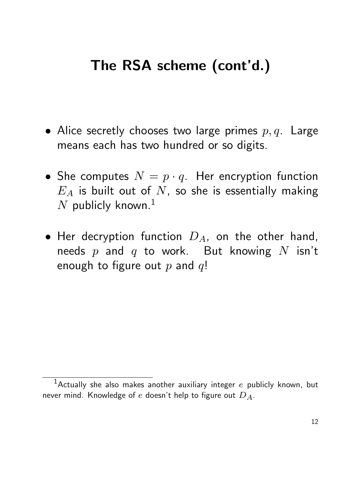## The RSA scheme (cont'd.)

- Alice secretly chooses two large primes  $p, q$ . Large means each has two hundred or so digits.
- She computes  $N = p \cdot q$ . Her encryption function  $E_A$  is built out of  $N$ , so she is essentially making N publicly known.<sup>1</sup>
- Her decryption function  $D_A$ , on the other hand, needs  $p$  and  $q$  to work. But knowing  $N$  isn't enough to figure out  $p$  and  $q!$

<sup>&</sup>lt;sup>1</sup>Actually she also makes another auxiliary integer  $e$  publicly known, but never mind. Knowledge of e doesn't help to figure out  $D_A$ .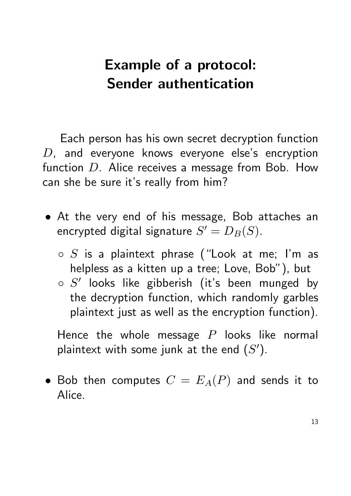### Example of a protocol: Sender authentication

Each person has his own secret decryption function  $D$ , and everyone knows everyone else's encryption function  $D$ . Alice receives a message from Bob. How can she be sure it's really from him?

- At the very end of his message, Bob attaches an encrypted digital signature  $S'=D_B(S).$ 
	- $\circ$  S is a plaintext phrase ("Look at me; I'm as helpless as a kitten up a tree; Love, Bob"), but
	- $\circ$   $S'$  looks like gibberish (it's been munged by the decryption function, which randomly garbles plaintext just as well as the encryption function).

Hence the whole message  $P$  looks like normal plaintext with some junk at the end  $(S')$ .

• Bob then computes  $C = E<sub>A</sub>(P)$  and sends it to Alice.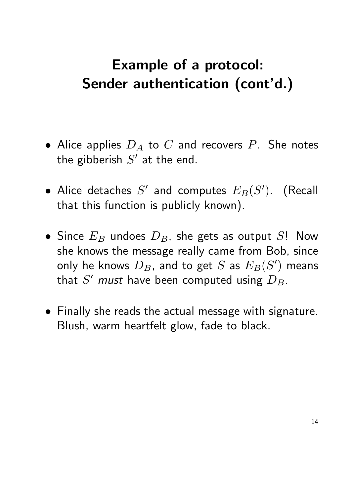## Example of a protocol: Sender authentication (cont'd.)

- Alice applies  $D_A$  to C and recovers P. She notes the gibberish  $S'$  at the end.
- Alice detaches  $S'$  and computes  $E_B(S')$ . (Recall that this function is publicly known).
- Since  $E_B$  undoes  $D_B$ , she gets as output S! Now she knows the message really came from Bob, since only he knows  $\bar{D}_B$ , and to get  $S$  as  $E_B(S')$  means that  $S'$  must have been computed using  $D_B$ .
- Finally she reads the actual message with signature. Blush, warm heartfelt glow, fade to black.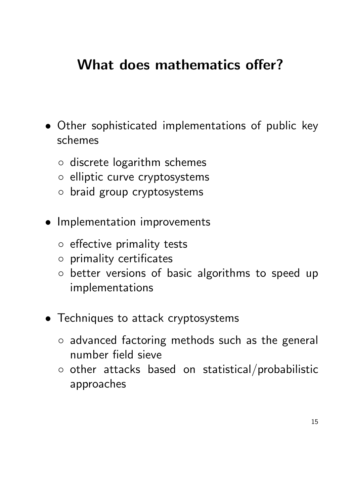### What does mathematics offer?

- Other sophisticated implementations of public key schemes
	- discrete logarithm schemes
	- elliptic curve cryptosystems
	- braid group cryptosystems
- Implementation improvements
	- effective primality tests
	- primality certificates
	- better versions of basic algorithms to speed up implementations
- Techniques to attack cryptosystems
	- advanced factoring methods such as the general number field sieve
	- other attacks based on statistical/probabilistic approaches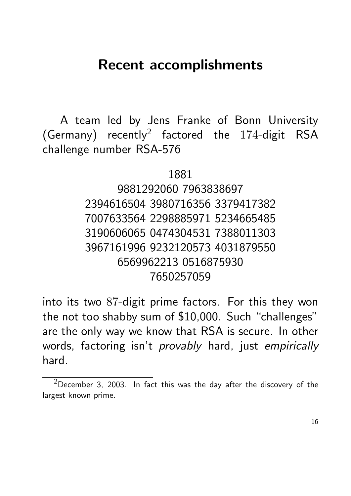#### Recent accomplishments

A team led by Jens Franke of Bonn University (Germany) recently<sup>2</sup> factored the  $174$ -digit RSA challenge number RSA-576

1881

#### 9881292060 7963838697 2394616504 3980716356 3379417382 7007633564 2298885971 5234665485 3190606065 0474304531 7388011303 3967161996 9232120573 4031879550 6569962213 0516875930 7650257059

into its two 87-digit prime factors. For this they won the not too shabby sum of \$10,000. Such "challenges" are the only way we know that RSA is secure. In other words, factoring isn't *provably* hard, just empirically hard.

<sup>2</sup>December 3, 2003. In fact this was the day after the discovery of the largest known prime.